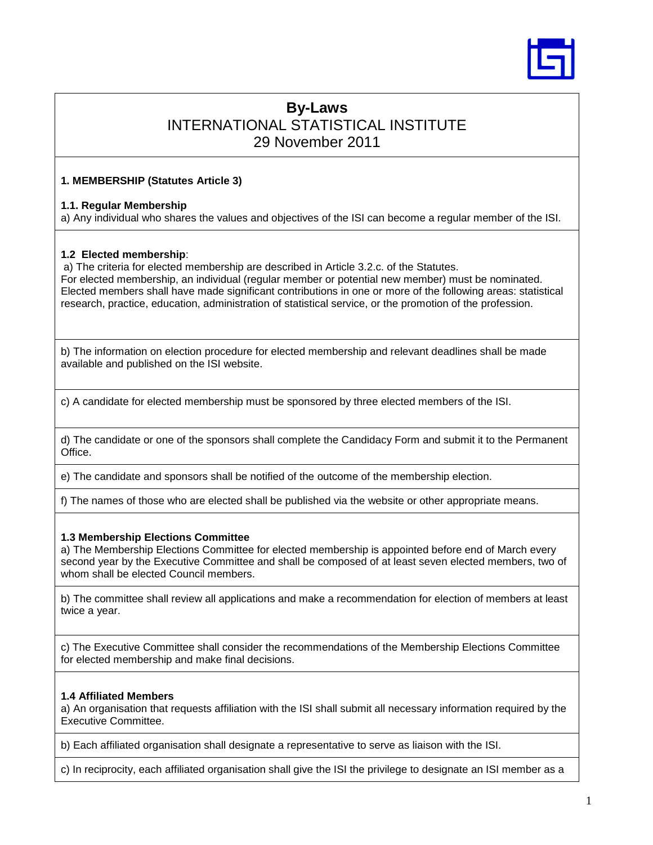

# **By-Laws**  INTERNATIONAL STATISTICAL INSTITUTE 29 November 2011

# **1. MEMBERSHIP (Statutes Article 3)**

## **1.1. Regular Membership**

a) Any individual who shares the values and objectives of the ISI can become a regular member of the ISI.

## **1.2 Elected membership**:

a) The criteria for elected membership are described in Article 3.2.c. of the Statutes. For elected membership, an individual (regular member or potential new member) must be nominated. Elected members shall have made significant contributions in one or more of the following areas: statistical research, practice, education, administration of statistical service, or the promotion of the profession.

b) The information on election procedure for elected membership and relevant deadlines shall be made available and published on the ISI website.

c) A candidate for elected membership must be sponsored by three elected members of the ISI.

d) The candidate or one of the sponsors shall complete the Candidacy Form and submit it to the Permanent Office.

e) The candidate and sponsors shall be notified of the outcome of the membership election.

f) The names of those who are elected shall be published via the website or other appropriate means.

# **1.3 Membership Elections Committee**

a) The Membership Elections Committee for elected membership is appointed before end of March every second year by the Executive Committee and shall be composed of at least seven elected members, two of whom shall be elected Council members.

b) The committee shall review all applications and make a recommendation for election of members at least twice a year.

c) The Executive Committee shall consider the recommendations of the Membership Elections Committee for elected membership and make final decisions.

# **1.4 Affiliated Members**

a) An organisation that requests affiliation with the ISI shall submit all necessary information required by the Executive Committee.

b) Each affiliated organisation shall designate a representative to serve as liaison with the ISI.

c) In reciprocity, each affiliated organisation shall give the ISI the privilege to designate an ISI member as a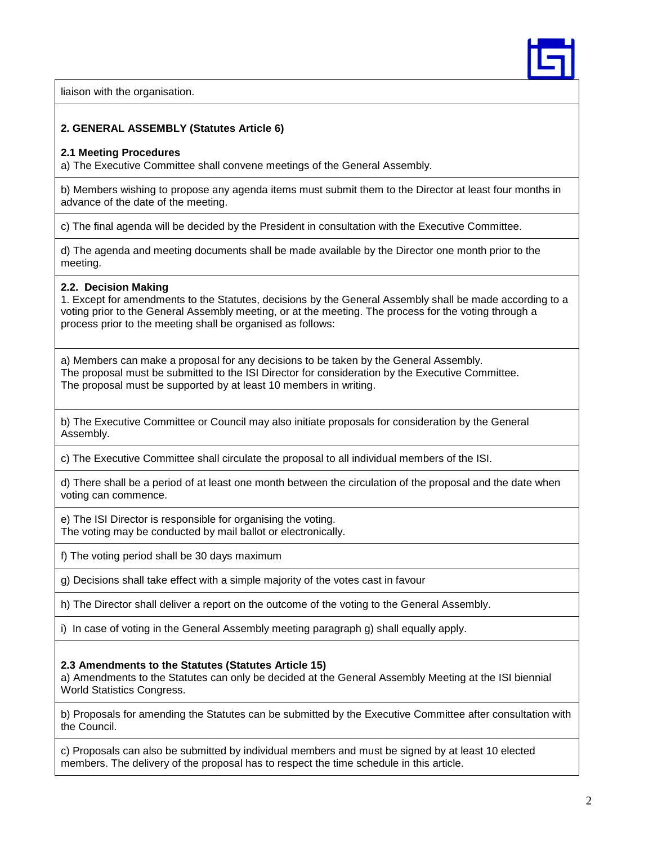

liaison with the organisation.

# **2. GENERAL ASSEMBLY (Statutes Article 6)**

#### **2.1 Meeting Procedures**

a) The Executive Committee shall convene meetings of the General Assembly.

b) Members wishing to propose any agenda items must submit them to the Director at least four months in advance of the date of the meeting.

c) The final agenda will be decided by the President in consultation with the Executive Committee.

d) The agenda and meeting documents shall be made available by the Director one month prior to the meeting.

## **2.2. Decision Making**

1. Except for amendments to the Statutes, decisions by the General Assembly shall be made according to a voting prior to the General Assembly meeting, or at the meeting. The process for the voting through a process prior to the meeting shall be organised as follows:

a) Members can make a proposal for any decisions to be taken by the General Assembly. The proposal must be submitted to the ISI Director for consideration by the Executive Committee. The proposal must be supported by at least 10 members in writing.

b) The Executive Committee or Council may also initiate proposals for consideration by the General Assembly.

c) The Executive Committee shall circulate the proposal to all individual members of the ISI.

d) There shall be a period of at least one month between the circulation of the proposal and the date when voting can commence.

e) The ISI Director is responsible for organising the voting. The voting may be conducted by mail ballot or electronically.

f) The voting period shall be 30 days maximum

g) Decisions shall take effect with a simple majority of the votes cast in favour

h) The Director shall deliver a report on the outcome of the voting to the General Assembly.

i) In case of voting in the General Assembly meeting paragraph g) shall equally apply.

## **2.3 Amendments to the Statutes (Statutes Article 15)**

a) Amendments to the Statutes can only be decided at the General Assembly Meeting at the ISI biennial World Statistics Congress.

b) Proposals for amending the Statutes can be submitted by the Executive Committee after consultation with the Council.

c) Proposals can also be submitted by individual members and must be signed by at least 10 elected members. The delivery of the proposal has to respect the time schedule in this article.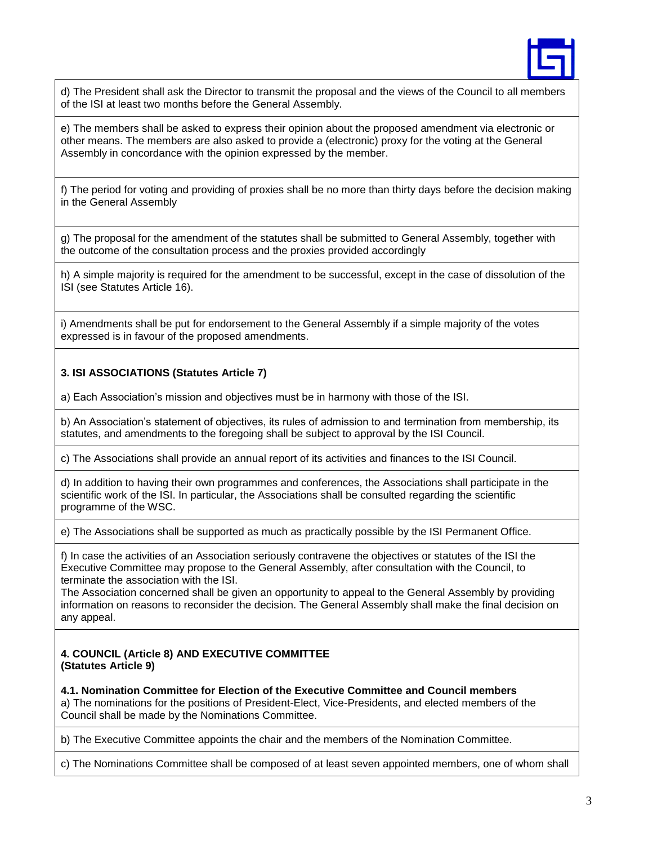

d) The President shall ask the Director to transmit the proposal and the views of the Council to all members of the ISI at least two months before the General Assembly.

e) The members shall be asked to express their opinion about the proposed amendment via electronic or other means. The members are also asked to provide a (electronic) proxy for the voting at the General Assembly in concordance with the opinion expressed by the member.

f) The period for voting and providing of proxies shall be no more than thirty days before the decision making in the General Assembly

g) The proposal for the amendment of the statutes shall be submitted to General Assembly, together with the outcome of the consultation process and the proxies provided accordingly

h) A simple majority is required for the amendment to be successful, except in the case of dissolution of the ISI (see Statutes Article 16).

i) Amendments shall be put for endorsement to the General Assembly if a simple majority of the votes expressed is in favour of the proposed amendments.

## **3. ISI ASSOCIATIONS (Statutes Article 7)**

a) Each Association's mission and objectives must be in harmony with those of the ISI.

b) An Association's statement of objectives, its rules of admission to and termination from membership, its statutes, and amendments to the foregoing shall be subject to approval by the ISI Council.

c) The Associations shall provide an annual report of its activities and finances to the ISI Council.

d) In addition to having their own programmes and conferences, the Associations shall participate in the scientific work of the ISI. In particular, the Associations shall be consulted regarding the scientific programme of the WSC.

e) The Associations shall be supported as much as practically possible by the ISI Permanent Office.

f) In case the activities of an Association seriously contravene the objectives or statutes of the ISI the Executive Committee may propose to the General Assembly, after consultation with the Council, to terminate the association with the ISI.

The Association concerned shall be given an opportunity to appeal to the General Assembly by providing information on reasons to reconsider the decision. The General Assembly shall make the final decision on any appeal.

## **4. COUNCIL (Article 8) AND EXECUTIVE COMMITTEE (Statutes Article 9)**

**4.1. Nomination Committee for Election of the Executive Committee and Council members** a) The nominations for the positions of President-Elect, Vice-Presidents, and elected members of the Council shall be made by the Nominations Committee.

b) The Executive Committee appoints the chair and the members of the Nomination Committee.

c) The Nominations Committee shall be composed of at least seven appointed members, one of whom shall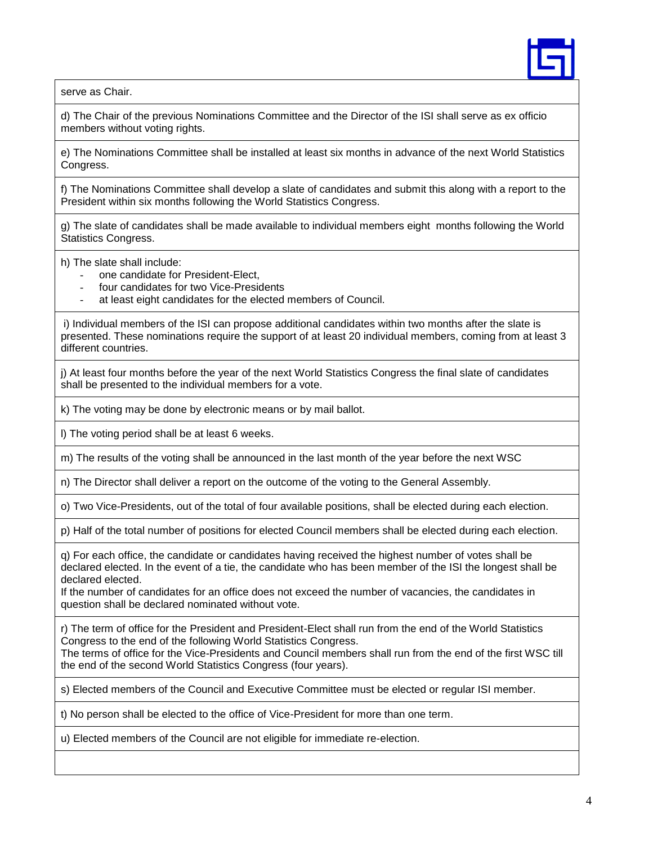

serve as Chair.

d) The Chair of the previous Nominations Committee and the Director of the ISI shall serve as ex officio members without voting rights.

e) The Nominations Committee shall be installed at least six months in advance of the next World Statistics Congress.

f) The Nominations Committee shall develop a slate of candidates and submit this along with a report to the President within six months following the World Statistics Congress.

g) The slate of candidates shall be made available to individual members eight months following the World Statistics Congress.

h) The slate shall include:

- one candidate for President-Elect.
- four candidates for two Vice-Presidents
- at least eight candidates for the elected members of Council.

i) Individual members of the ISI can propose additional candidates within two months after the slate is presented. These nominations require the support of at least 20 individual members, coming from at least 3 different countries.

j) At least four months before the year of the next World Statistics Congress the final slate of candidates shall be presented to the individual members for a vote.

k) The voting may be done by electronic means or by mail ballot.

l) The voting period shall be at least 6 weeks.

m) The results of the voting shall be announced in the last month of the year before the next WSC

n) The Director shall deliver a report on the outcome of the voting to the General Assembly.

o) Two Vice-Presidents, out of the total of four available positions, shall be elected during each election.

p) Half of the total number of positions for elected Council members shall be elected during each election.

q) For each office, the candidate or candidates having received the highest number of votes shall be declared elected. In the event of a tie, the candidate who has been member of the ISI the longest shall be declared elected.

If the number of candidates for an office does not exceed the number of vacancies, the candidates in question shall be declared nominated without vote.

r) The term of office for the President and President-Elect shall run from the end of the World Statistics Congress to the end of the following World Statistics Congress.

The terms of office for the Vice-Presidents and Council members shall run from the end of the first WSC till the end of the second World Statistics Congress (four years).

s) Elected members of the Council and Executive Committee must be elected or regular ISI member.

t) No person shall be elected to the office of Vice-President for more than one term.

u) Elected members of the Council are not eligible for immediate re-election.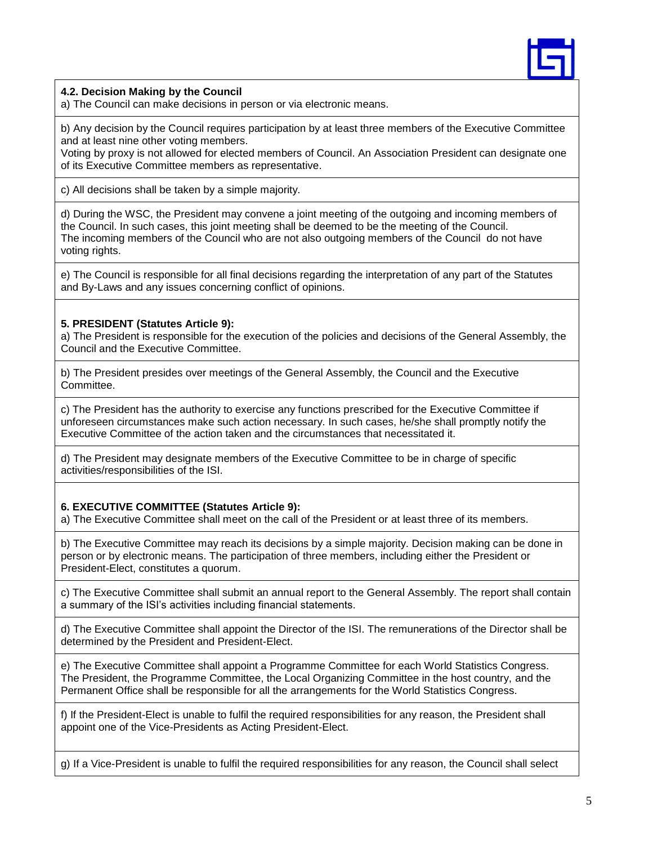

## **4.2. Decision Making by the Council**

a) The Council can make decisions in person or via electronic means.

b) Any decision by the Council requires participation by at least three members of the Executive Committee and at least nine other voting members.

Voting by proxy is not allowed for elected members of Council. An Association President can designate one of its Executive Committee members as representative.

c) All decisions shall be taken by a simple majority.

d) During the WSC, the President may convene a joint meeting of the outgoing and incoming members of the Council. In such cases, this joint meeting shall be deemed to be the meeting of the Council. The incoming members of the Council who are not also outgoing members of the Council do not have voting rights.

e) The Council is responsible for all final decisions regarding the interpretation of any part of the Statutes and By-Laws and any issues concerning conflict of opinions.

## **5. PRESIDENT (Statutes Article 9):**

a) The President is responsible for the execution of the policies and decisions of the General Assembly, the Council and the Executive Committee.

b) The President presides over meetings of the General Assembly, the Council and the Executive Committee.

c) The President has the authority to exercise any functions prescribed for the Executive Committee if unforeseen circumstances make such action necessary. In such cases, he/she shall promptly notify the Executive Committee of the action taken and the circumstances that necessitated it.

d) The President may designate members of the Executive Committee to be in charge of specific activities/responsibilities of the ISI.

## **6. EXECUTIVE COMMITTEE (Statutes Article 9):**

a) The Executive Committee shall meet on the call of the President or at least three of its members.

b) The Executive Committee may reach its decisions by a simple majority. Decision making can be done in person or by electronic means. The participation of three members, including either the President or President-Elect, constitutes a quorum.

c) The Executive Committee shall submit an annual report to the General Assembly. The report shall contain a summary of the ISI's activities including financial statements.

d) The Executive Committee shall appoint the Director of the ISI. The remunerations of the Director shall be determined by the President and President-Elect.

e) The Executive Committee shall appoint a Programme Committee for each World Statistics Congress. The President, the Programme Committee, the Local Organizing Committee in the host country, and the Permanent Office shall be responsible for all the arrangements for the World Statistics Congress.

f) If the President-Elect is unable to fulfil the required responsibilities for any reason, the President shall appoint one of the Vice-Presidents as Acting President-Elect.

g) If a Vice-President is unable to fulfil the required responsibilities for any reason, the Council shall select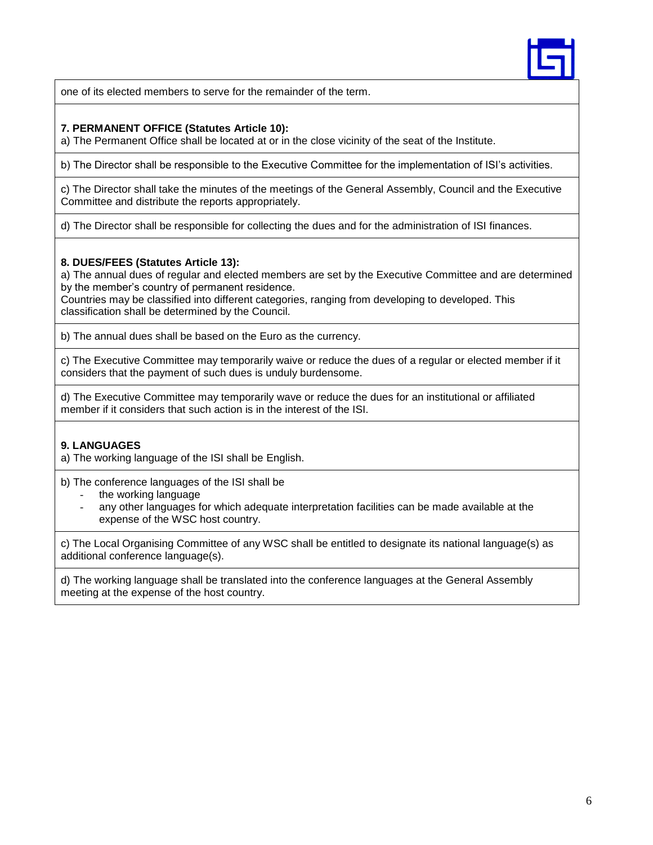

one of its elected members to serve for the remainder of the term.

# **7. PERMANENT OFFICE (Statutes Article 10):**

a) The Permanent Office shall be located at or in the close vicinity of the seat of the Institute.

b) The Director shall be responsible to the Executive Committee for the implementation of ISI's activities.

c) The Director shall take the minutes of the meetings of the General Assembly, Council and the Executive Committee and distribute the reports appropriately.

d) The Director shall be responsible for collecting the dues and for the administration of ISI finances.

# **8. DUES/FEES (Statutes Article 13):**

a) The annual dues of regular and elected members are set by the Executive Committee and are determined by the member's country of permanent residence.

Countries may be classified into different categories, ranging from developing to developed. This classification shall be determined by the Council.

b) The annual dues shall be based on the Euro as the currency.

c) The Executive Committee may temporarily waive or reduce the dues of a regular or elected member if it considers that the payment of such dues is unduly burdensome.

d) The Executive Committee may temporarily wave or reduce the dues for an institutional or affiliated member if it considers that such action is in the interest of the ISI.

# **9. LANGUAGES**

a) The working language of the ISI shall be English.

b) The conference languages of the ISI shall be

- the working language
- any other languages for which adequate interpretation facilities can be made available at the expense of the WSC host country.

c) The Local Organising Committee of any WSC shall be entitled to designate its national language(s) as additional conference language(s).

d) The working language shall be translated into the conference languages at the General Assembly meeting at the expense of the host country.